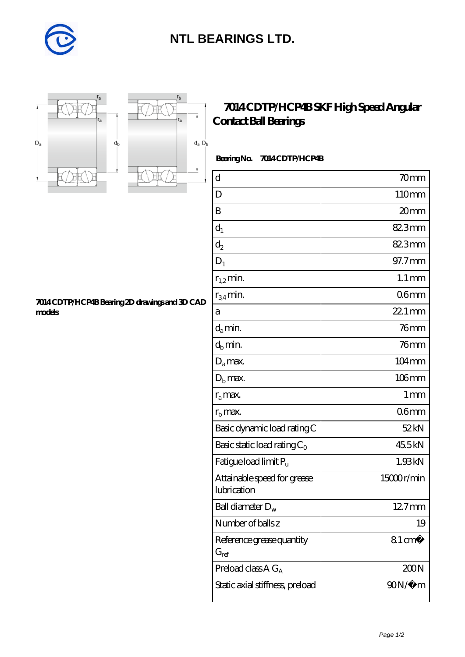

## **[NTL BEARINGS LTD.](https://m.diabetesfriends.net)**





## **[7014 CDTP/HCP4B SKF High Speed Angular](https://m.diabetesfriends.net/skf-bearing/7014-cdtp-hcp4b.html) [Contact Ball Bearings](https://m.diabetesfriends.net/skf-bearing/7014-cdtp-hcp4b.html)**

## **Bearing No. 7014 CDTP/HCP4B**

| $\rm d$                                    | 70 <sub>mm</sub>    |
|--------------------------------------------|---------------------|
| D                                          | 110mm               |
| B                                          | 20 <sub>mm</sub>    |
| $d_1$                                      | 82.3mm              |
| $d_2$                                      | 82.3mm              |
| $D_1$                                      | 97.7mm              |
| $r_{1,2}$ min.                             | $1.1 \,\mathrm{mm}$ |
| $r_{34}$ min.                              | 06 <sub>mm</sub>    |
| a                                          | $221$ mm            |
| $d_a$ min.                                 | 76 <sub>mm</sub>    |
| $d_h$ min.                                 | 76mm                |
| $D_a$ max.                                 | $104 \,\mathrm{mm}$ |
| $Db$ max.                                  | $106$ mm            |
| $r_a$ max.                                 | $1 \,\mathrm{mm}$   |
| $rb$ max.                                  | 06 <sub>mm</sub>    |
| Basic dynamic load rating C                | 52kN                |
| Basic static load rating $C_0$             | 45.5kN              |
| Fatigue load limit P <sub>u</sub>          | 1.93kN              |
| Attainable speed for grease<br>lubrication | 15000r/min          |
| Ball diameter $D_w$                        | 12.7mm              |
| Number of balls z                          | 19                  |
| Reference grease quantity<br>$G_{ref}$     | $81 \text{ cm}^3$   |
| Preload class $A G_A$                      | 200N                |
| Static axial stiffness, preload            | $90N/\mu$ m         |

**[7014 CDTP/HCP4B Bearing 2D drawings and 3D CAD](https://m.diabetesfriends.net/pic-590829.html) [models](https://m.diabetesfriends.net/pic-590829.html)**